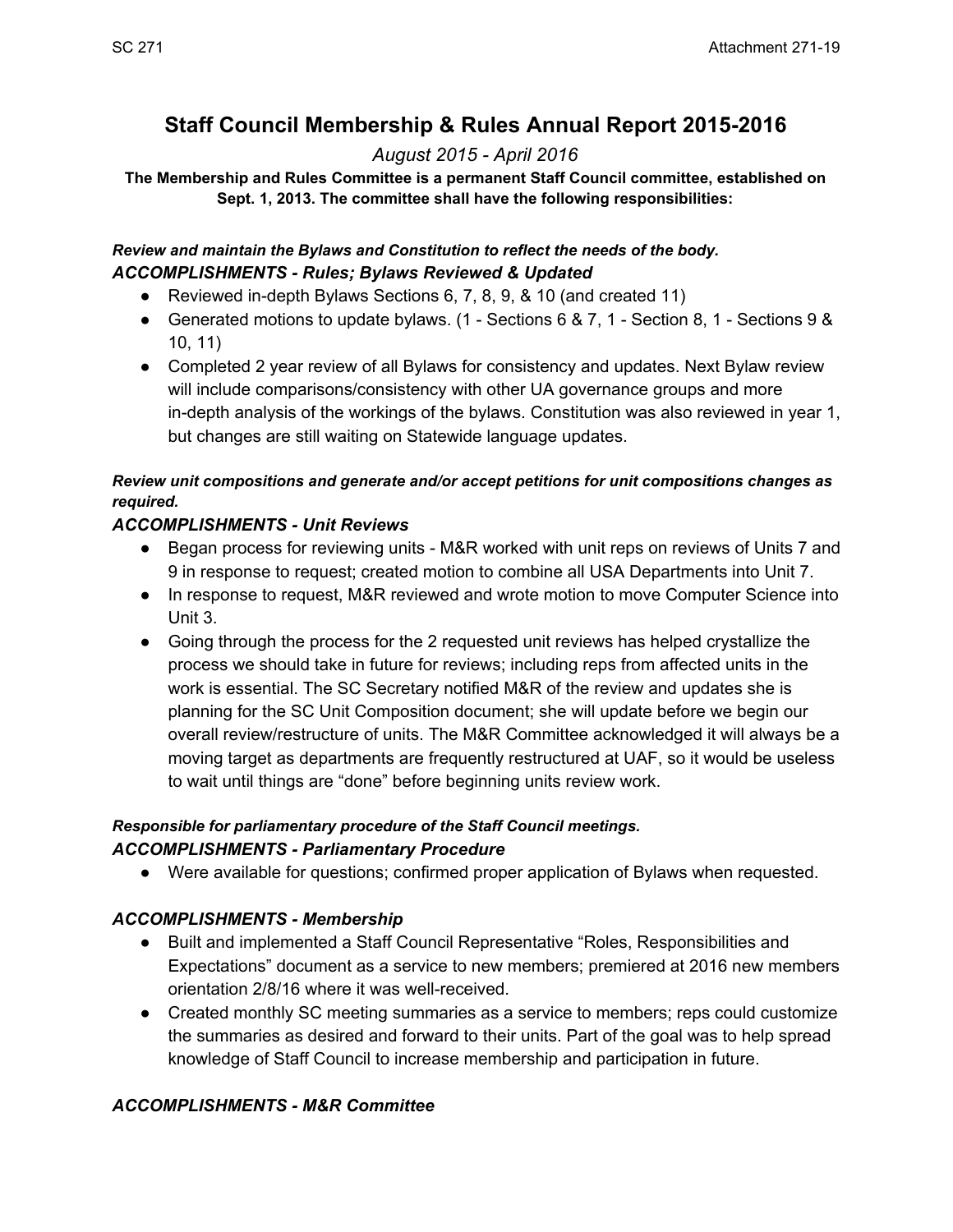# **Staff Council Membership & Rules Annual Report 2015-2016**

# *August 2015 April 2016*

#### **The Membership and Rules Committee is a permanent Staff Council committee, established on Sept. 1, 2013. The committee shall have the following responsibilities:**

#### *Review and maintain the Bylaws and Constitution to reflect the needs of the body. ACCOMPLISHMENTS Rules; Bylaws Reviewed & Updated*

- Reviewed in-depth Bylaws Sections 6, 7, 8, 9, & 10 (and created 11)
- Generated motions to update bylaws.  $(1 \text{Sections } 6 \& 7, 1 \text{Section } 8, 1 \text{ Sections } 9 \& 1)$ 10, 11)
- Completed 2 year review of all Bylaws for consistency and updates. Next Bylaw review will include comparisons/consistency with other UA governance groups and more in-depth analysis of the workings of the bylaws. Constitution was also reviewed in year 1, but changes are still waiting on Statewide language updates.

### *Review unit compositions and generate and/or accept petitions for unit compositions changes as required.*

## *ACCOMPLISHMENTS Unit Reviews*

- Began process for reviewing units M&R worked with unit reps on reviews of Units 7 and 9 in response to request; created motion to combine all USA Departments into Unit 7.
- In response to request, M&R reviewed and wrote motion to move Computer Science into Unit 3.
- Going through the process for the 2 requested unit reviews has helped crystallize the process we should take in future for reviews; including reps from affected units in the work is essential. The SC Secretary notified M&R of the review and updates she is planning for the SC Unit Composition document; she will update before we begin our overall review/restructure of units. The M&R Committee acknowledged it will always be a moving target as departments are frequently restructured at UAF, so it would be useless to wait until things are "done" before beginning units review work.

### *Responsible for parliamentary procedure of the Staff Council meetings. ACCOMPLISHMENTS Parliamentary Procedure*

● Were available for questions; confirmed proper application of Bylaws when requested.

## *ACCOMPLISHMENTS Membership*

- Built and implemented a Staff Council Representative "Roles, Responsibilities and Expectations" document as a service to new members; premiered at 2016 new members orientation 2/8/16 where it was well-received.
- Created monthly SC meeting summaries as a service to members; reps could customize the summaries as desired and forward to their units. Part of the goal was to help spread knowledge of Staff Council to increase membership and participation in future.

## *ACCOMPLISHMENTS M&R Committee*